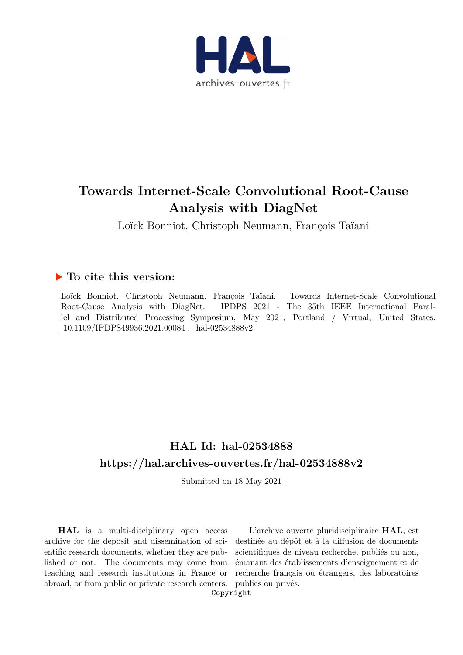

## **Towards Internet-Scale Convolutional Root-Cause Analysis with DiagNet**

Loïck Bonniot, Christoph Neumann, François Taïani

### **To cite this version:**

Loïck Bonniot, Christoph Neumann, François Taïani. Towards Internet-Scale Convolutional Root-Cause Analysis with DiagNet. IPDPS 2021 - The 35th IEEE International Parallel and Distributed Processing Symposium, May 2021, Portland / Virtual, United States. 10.1109/IPDPS49936.2021.00084 . hal-02534888v2

## **HAL Id: hal-02534888 <https://hal.archives-ouvertes.fr/hal-02534888v2>**

Submitted on 18 May 2021

**HAL** is a multi-disciplinary open access archive for the deposit and dissemination of scientific research documents, whether they are published or not. The documents may come from teaching and research institutions in France or abroad, or from public or private research centers. publics ou privés.

L'archive ouverte pluridisciplinaire **HAL**, est destinée au dépôt et à la diffusion de documents scientifiques de niveau recherche, publiés ou non, émanant des établissements d'enseignement et de recherche français ou étrangers, des laboratoires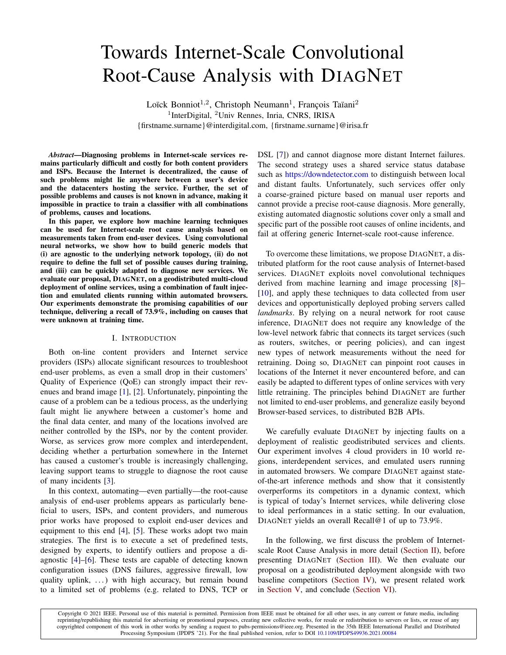# Towards Internet-Scale Convolutional Root-Cause Analysis with DIAGNET

Loïck Bonniot<sup>1,2</sup>, Christoph Neumann<sup>1</sup>, François Taïani<sup>2</sup> <sup>1</sup>InterDigital, <sup>2</sup>Univ Rennes, Inria, CNRS, IRISA {firstname.surname}@interdigital.com, {firstname.surname}@irisa.fr

*Abstract*—Diagnosing problems in Internet-scale services remains particularly difficult and costly for both content providers and ISPs. Because the Internet is decentralized, the cause of such problems might lie anywhere between a user's device and the datacenters hosting the service. Further, the set of possible problems and causes is not known in advance, making it impossible in practice to train a classifier with all combinations of problems, causes and locations.

In this paper, we explore how machine learning techniques can be used for Internet-scale root cause analysis based on measurements taken from end-user devices. Using convolutional neural networks, we show how to build generic models that (i) are agnostic to the underlying network topology, (ii) do not require to define the full set of possible causes during training, and (iii) can be quickly adapted to diagnose new services. We evaluate our proposal, DIAGNET, on a geodistributed multi-cloud deployment of online services, using a combination of fault injection and emulated clients running within automated browsers. Our experiments demonstrate the promising capabilities of our technique, delivering a recall of 73.9%, including on causes that were unknown at training time.

#### I. INTRODUCTION

Both on-line content providers and Internet service providers (ISPs) allocate significant resources to troubleshoot end-user problems, as even a small drop in their customers' Quality of Experience (QoE) can strongly impact their revenues and brand image [1], [2]. Unfortunately, pinpointing the cause of a problem can be a tedious process, as the underlying fault might lie anywhere between a customer's home and the final data center, and many of the locations involved are neither controlled by the ISPs, nor by the content provider. Worse, as services grow more complex and interdependent, deciding whether a perturbation somewhere in the Internet has caused a customer's trouble is increasingly challenging, leaving support teams to struggle to diagnose the root cause of many incidents [3].

In this context, automating—even partially—the root-cause analysis of end-user problems appears as particularly beneficial to users, ISPs, and content providers, and numerous prior works have proposed to exploit end-user devices and equipment to this end [4], [5]. These works adopt two main strategies. The first is to execute a set of predefined tests, designed by experts, to identify outliers and propose a diagnostic [4]–[6]. These tests are capable of detecting known configuration issues (DNS failures, aggressive firewall, low quality uplink, ...) with high accuracy, but remain bound to a limited set of problems (e.g. related to DNS, TCP or DSL [7]) and cannot diagnose more distant Internet failures. The second strategy uses a shared service status database such as <https://downdetector.com> to distinguish between local and distant faults. Unfortunately, such services offer only a coarse-grained picture based on manual user reports and cannot provide a precise root-cause diagnosis. More generally, existing automated diagnostic solutions cover only a small and specific part of the possible root causes of online incidents, and fail at offering generic Internet-scale root-cause inference.

To overcome these limitations, we propose DIAGNET, a distributed platform for the root cause analysis of Internet-based services. DIAGNET exploits novel convolutional techniques derived from machine learning and image processing [8]– [10], and apply these techniques to data collected from user devices and opportunistically deployed probing servers called *landmarks*. By relying on a neural network for root cause inference, DIAGNET does not require any knowledge of the low-level network fabric that connects its target services (such as routers, switches, or peering policies), and can ingest new types of network measurements without the need for retraining. Doing so, DIAGNET can pinpoint root causes in locations of the Internet it never encountered before, and can easily be adapted to different types of online services with very little retraining. The principles behind DIAGNET are further not limited to end-user problems, and generalize easily beyond Browser-based services, to distributed B2B APIs.

We carefully evaluate DIAGNET by injecting faults on a deployment of realistic geodistributed services and clients. Our experiment involves 4 cloud providers in 10 world regions, interdependent services, and emulated users running in automated browsers. We compare DIAGNET against stateof-the-art inference methods and show that it consistently overperforms its competitors in a dynamic context, which is typical of today's Internet services, while delivering close to ideal performances in a static setting. In our evaluation, DIAGNET yields an overall Recall@1 of up to 73.9%.

In the following, we first discuss the problem of Internetscale Root Cause Analysis in more detail (Section II), before presenting DIAGNET (Section III). We then evaluate our proposal on a geodistributed deployment alongside with two baseline competitors (Section IV), we present related work in Section V, and conclude (Section VI).

Copyright © 2021 IEEE. Personal use of this material is permitted. Permission from IEEE must be obtained for all other uses, in any current or future media, including reprinting/republishing this material for advertising or promotional purposes, creating new collective works, for resale or redistribution to servers or lists, or reuse of any copyrighted component of this work in other works by sending a request to pubs-permissions@ieee.org. Presented in the 35th IEEE International Parallel and Distributed Processing Symposium (IPDPS '21). For the final published version, refer to DOI [10.1109/IPDPS49936.2021.00084](https://doi.org/10.1109/IPDPS49936.2021.00084)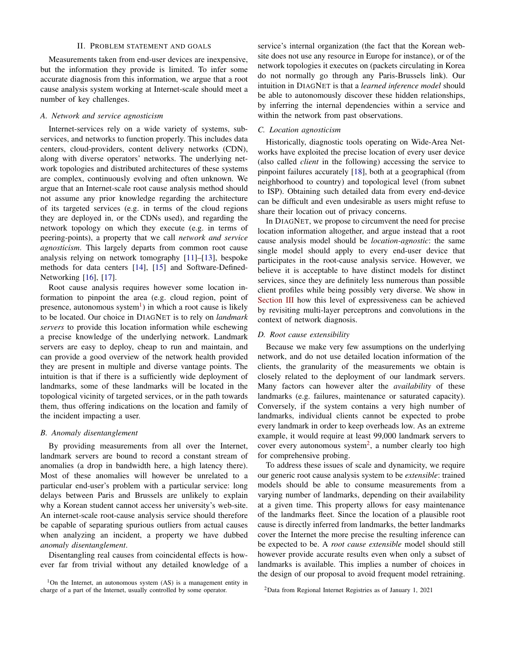#### II. PROBLEM STATEMENT AND GOALS

Measurements taken from end-user devices are inexpensive, but the information they provide is limited. To infer some accurate diagnosis from this information, we argue that a root cause analysis system working at Internet-scale should meet a number of key challenges.

#### *A. Network and service agnosticism*

Internet-services rely on a wide variety of systems, subservices, and networks to function properly. This includes data centers, cloud-providers, content delivery networks (CDN), along with diverse operators' networks. The underlying network topologies and distributed architectures of these systems are complex, continuously evolving and often unknown. We argue that an Internet-scale root cause analysis method should not assume any prior knowledge regarding the architecture of its targeted services (e.g. in terms of the cloud regions they are deployed in, or the CDNs used), and regarding the network topology on which they execute (e.g. in terms of peering-points), a property that we call *network and service agnosticism*. This largely departs from common root cause analysis relying on network tomography [11]–[13], bespoke methods for data centers [14], [15] and Software-Defined-Networking [16], [17].

Root cause analysis requires however some location information to pinpoint the area (e.g. cloud region, point of presence, autonomous system<sup>1</sup>) in which a root cause is likely to be located. Our choice in DIAGNET is to rely on *landmark servers* to provide this location information while eschewing a precise knowledge of the underlying network. Landmark servers are easy to deploy, cheap to run and maintain, and can provide a good overview of the network health provided they are present in multiple and diverse vantage points. The intuition is that if there is a sufficiently wide deployment of landmarks, some of these landmarks will be located in the topological vicinity of targeted services, or in the path towards them, thus offering indications on the location and family of the incident impacting a user.

#### *B. Anomaly disentanglement*

By providing measurements from all over the Internet, landmark servers are bound to record a constant stream of anomalies (a drop in bandwidth here, a high latency there). Most of these anomalies will however be unrelated to a particular end-user's problem with a particular service: long delays between Paris and Brussels are unlikely to explain why a Korean student cannot access her university's web-site. An internet-scale root-cause analysis service should therefore be capable of separating spurious outliers from actual causes when analyzing an incident, a property we have dubbed *anomaly disentanglement*.

Disentangling real causes from coincidental effects is however far from trivial without any detailed knowledge of a service's internal organization (the fact that the Korean website does not use any resource in Europe for instance), or of the network topologies it executes on (packets circulating in Korea do not normally go through any Paris-Brussels link). Our intuition in DIAGNET is that a *learned inference model* should be able to autonomously discover these hidden relationships, by inferring the internal dependencies within a service and within the network from past observations.

#### *C. Location agnosticism*

Historically, diagnostic tools operating on Wide-Area Networks have exploited the precise location of every user device (also called *client* in the following) accessing the service to pinpoint failures accurately [18], both at a geographical (from neighborhood to country) and topological level (from subnet to ISP). Obtaining such detailed data from every end-device can be difficult and even undesirable as users might refuse to share their location out of privacy concerns.

In DIAGNET, we propose to circumvent the need for precise location information altogether, and argue instead that a root cause analysis model should be *location-agnostic*: the same single model should apply to every end-user device that participates in the root-cause analysis service. However, we believe it is acceptable to have distinct models for distinct services, since they are definitely less numerous than possible client profiles while being possibly very diverse. We show in Section III how this level of expressiveness can be achieved by revisiting multi-layer perceptrons and convolutions in the context of network diagnosis.

#### *D. Root cause extensibility*

Because we make very few assumptions on the underlying network, and do not use detailed location information of the clients, the granularity of the measurements we obtain is closely related to the deployment of our landmark servers. Many factors can however alter the *availability* of these landmarks (e.g. failures, maintenance or saturated capacity). Conversely, if the system contains a very high number of landmarks, individual clients cannot be expected to probe every landmark in order to keep overheads low. As an extreme example, it would require at least 99,000 landmark servers to cover every autonomous system<sup>2</sup>, a number clearly too high for comprehensive probing.

To address these issues of scale and dynamicity, we require our generic root cause analysis system to be *extensible*: trained models should be able to consume measurements from a varying number of landmarks, depending on their availability at a given time. This property allows for easy maintenance of the landmarks fleet. Since the location of a plausible root cause is directly inferred from landmarks, the better landmarks cover the Internet the more precise the resulting inference can be expected to be. A *root cause extensible* model should still however provide accurate results even when only a subset of landmarks is available. This implies a number of choices in the design of our proposal to avoid frequent model retraining.

<sup>2</sup>Data from Regional Internet Registries as of January 1, 2021

 $1$ On the Internet, an autonomous system  $(AS)$  is a management entity in charge of a part of the Internet, usually controlled by some operator.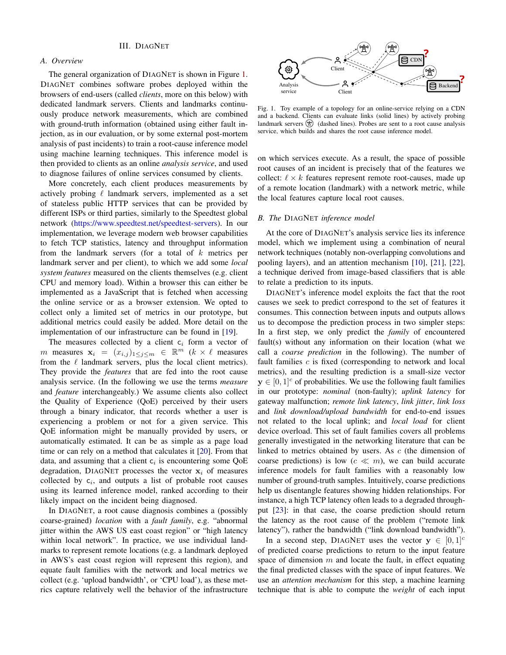#### *A. Overview*

The general organization of DIAGNET is shown in Figure 1. DIAGNET combines software probes deployed within the browsers of end-users (called *clients*, more on this below) with dedicated landmark servers. Clients and landmarks continuously produce network measurements, which are combined with ground-truth information (obtained using either fault injection, as in our evaluation, or by some external post-mortem analysis of past incidents) to train a root-cause inference model using machine learning techniques. This inference model is then provided to clients as an online *analysis service*, and used to diagnose failures of online services consumed by clients.

More concretely, each client produces measurements by actively probing  $\ell$  landmark servers, implemented as a set of stateless public HTTP services that can be provided by different ISPs or third parties, similarly to the Speedtest global network [\(https://www.speedtest.net/speedtest-servers\)](https://www.speedtest.net/speedtest-servers). In our implementation, we leverage modern web browser capabilities to fetch TCP statistics, latency and throughput information from the landmark servers (for a total of  $k$  metrics per landmark server and per client), to which we add some *local system features* measured on the clients themselves (e.g. client CPU and memory load). Within a browser this can either be implemented as a JavaScript that is fetched when accessing the online service or as a browser extension. We opted to collect only a limited set of metrics in our prototype, but additional metrics could easily be added. More detail on the implementation of our infrastructure can be found in [19].

The measures collected by a client  $c_i$  form a vector of m measures  $\mathbf{x}_i = (x_{i,j})_{1 \leq j \leq m} \in \mathbb{R}^m$  ( $k \times \ell$  measures from the  $\ell$  landmark servers, plus the local client metrics). They provide the *features* that are fed into the root cause analysis service. (In the following we use the terms *measure* and *feature* interchangeably.) We assume clients also collect the Quality of Experience (QoE) perceived by their users through a binary indicator, that records whether a user is experiencing a problem or not for a given service. This QoE information might be manually provided by users, or automatically estimated. It can be as simple as a page load time or can rely on a method that calculates it [20]. From that data, and assuming that a client  $c_i$  is encountering some QoE degradation, DIAGNET processes the vector  $x_i$  of measures collected by  $c_i$ , and outputs a list of probable root causes using its learned inference model, ranked according to their likely impact on the incident being diagnosed.

In DIAGNET, a root cause diagnosis combines a (possibly coarse-grained) *location* with a *fault family*, e.g. "abnormal jitter within the AWS US east coast region" or "high latency within local network". In practice, we use individual landmarks to represent remote locations (e.g. a landmark deployed in AWS's east coast region will represent this region), and equate fault families with the network and local metrics we collect (e.g. 'upload bandwidth', or 'CPU load'), as these metrics capture relatively well the behavior of the infrastructure



Fig. 1. Toy example of a topology for an online-service relying on a CDN and a backend. Clients can evaluate links (solid lines) by actively probing landmark servers  $(2)$  (dashed lines). Probes are sent to a root cause analysis service, which builds and shares the root cause inference model.

on which services execute. As a result, the space of possible root causes of an incident is precisely that of the features we collect:  $\ell \times k$  features represent remote root-causes, made up of a remote location (landmark) with a network metric, while the local features capture local root causes.

#### *B. The* DIAGNET *inference model*

At the core of DIAGNET's analysis service lies its inference model, which we implement using a combination of neural network techniques (notably non-overlapping convolutions and pooling layers), and an attention mechanism [10], [21], [22], a technique derived from image-based classifiers that is able to relate a prediction to its inputs.

DIAGNET's inference model exploits the fact that the root causes we seek to predict correspond to the set of features it consumes. This connection between inputs and outputs allows us to decompose the prediction process in two simpler steps: In a first step, we only predict the *family* of encountered fault(s) without any information on their location (what we call a *coarse prediction* in the following). The number of fault families  $c$  is fixed (corresponding to network and local metrics), and the resulting prediction is a small-size vector  $y \in [0, 1]^{c}$  of probabilities. We use the following fault families in our prototype: *nominal* (non-faulty); *uplink latency* for gateway malfunction; *remote link latency*, *link jitter*, *link loss* and *link download/upload bandwidth* for end-to-end issues not related to the local uplink; and *local load* for client device overload. This set of fault families covers all problems generally investigated in the networking literature that can be linked to metrics obtained by users. As c (the dimension of coarse predictions) is low ( $c \ll m$ ), we can build accurate inference models for fault families with a reasonably low number of ground-truth samples. Intuitively, coarse predictions help us disentangle features showing hidden relationships. For instance, a high TCP latency often leads to a degraded throughput [23]: in that case, the coarse prediction should return the latency as the root cause of the problem ("remote link latency"), rather the bandwidth ("link download bandwidth").

In a second step, DIAGNET uses the vector  $y \in [0, 1]^{c}$ of predicted coarse predictions to return to the input feature space of dimension  $m$  and locate the fault, in effect equating the final predicted classes with the space of input features. We use an *attention mechanism* for this step, a machine learning technique that is able to compute the *weight* of each input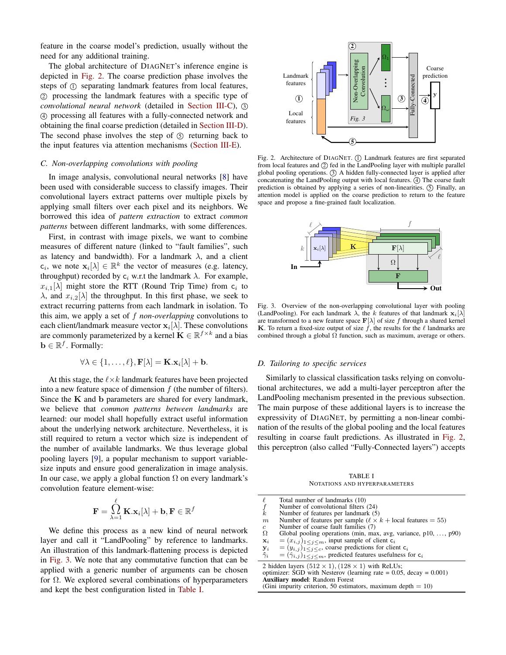feature in the coarse model's prediction, usually without the need for any additional training.

The global architecture of DIAGNET's inference engine is depicted in Fig. 2. The coarse prediction phase involves the steps of  $\odot$  separating landmark features from local features, 2 processing the landmark features with a specific type of *convolutional neural network* (detailed in Section III-C), 3 4 processing all features with a fully-connected network and obtaining the final coarse prediction (detailed in Section III-D). The second phase involves the step of  $(5)$  returning back to the input features via attention mechanisms (Section III-E).

#### *C. Non-overlapping convolutions with pooling*

In image analysis, convolutional neural networks [8] have been used with considerable success to classify images. Their convolutional layers extract patterns over multiple pixels by applying small filters over each pixel and its neighbors. We borrowed this idea of *pattern extraction* to extract *common patterns* between different landmarks, with some differences.

First, in contrast with image pixels, we want to combine measures of different nature (linked to "fault families", such as latency and bandwidth). For a landmark  $\lambda$ , and a client  $c_i$ , we note  $\mathbf{x}_i[\lambda] \in \mathbb{R}^k$  the vector of measures (e.g. latency, throughput) recorded by  $c_i$  w.r.t the landmark  $\lambda$ . For example,  $x_{i,1}[\lambda]$  might store the RTT (Round Trip Time) from  $c_i$  to  $\lambda$ , and  $x_{i,2}[\lambda]$  the throughput. In this first phase, we seek to extract recurring patterns from each landmark in isolation. To this aim, we apply a set of f *non-overlapping* convolutions to each client/landmark measure vector  $\mathbf{x}_i[\lambda]$ . These convolutions are commonly parameterized by a kernel  $\mathbf{K} \in \mathbb{R}^{f \times k}$  and a bias  $\mathbf{b} \in \mathbb{R}^f$ . Formally:

$$
\forall \lambda \in \{1, \ldots, \ell\}, \mathbf{F}[\lambda] = \mathbf{K}.\mathbf{x}_i[\lambda] + \mathbf{b}.
$$

At this stage, the  $\ell \times k$  landmark features have been projected into a new feature space of dimension  $f$  (the number of filters). Since the  $K$  and  $b$  parameters are shared for every landmark, we believe that *common patterns between landmarks* are learned: our model shall hopefully extract useful information about the underlying network architecture. Nevertheless, it is still required to return a vector which size is independent of the number of available landmarks. We thus leverage global pooling layers [9], a popular mechanism to support variablesize inputs and ensure good generalization in image analysis. In our case, we apply a global function  $\Omega$  on every landmark's convolution feature element-wise:

$$
\mathbf{F} = \bigcap_{\lambda=1}^\ell \mathbf{K}.\mathbf{x}_i[\lambda] + \mathbf{b}, \mathbf{F} \in \mathbb{R}^f
$$

We define this process as a new kind of neural network layer and call it "LandPooling" by reference to landmarks. An illustration of this landmark-flattening process is depicted in Fig. 3. We note that any commutative function that can be applied with a generic number of arguments can be chosen for  $\Omega$ . We explored several combinations of hyperparameters and kept the best configuration listed in Table I.



Fig. 2. Architecture of DIAGNET. (1) Landmark features are first separated from local features and  $\oslash$  fed in the LandPooling layer with multiple parallel global pooling operations.  $\circled{3}$  A hidden fully-connected layer is applied after concatenating the LandPooling output with local features. 4 The coarse fault prediction is obtained by applying a series of non-linearities.  $(5)$  Finally, an attention model is applied on the coarse prediction to return to the feature space and propose a fine-grained fault localization.



Fig. 3. Overview of the non-overlapping convolutional layer with pooling (LandPooling). For each landmark  $\lambda$ , the k features of that landmark  $\mathbf{x}_i[\lambda]$ are transformed to a new feature space  $\mathbf{F}[\lambda]$  of size f through a shared kernel **K**. To return a fixed-size output of size  $\hat{f}$ , the results for the  $\ell$  landmarks are combined through a global  $\Omega$  function, such as maximum, average or others.

#### *D. Tailoring to specific services*

Similarly to classical classification tasks relying on convolutional architectures, we add a multi-layer perceptron after the LandPooling mechanism presented in the previous subsection. The main purpose of these additional layers is to increase the expressivity of DIAGNET, by permitting a non-linear combination of the results of the global pooling and the local features resulting in coarse fault predictions. As illustrated in Fig. 2, this perceptron (also called "Fully-Connected layers") accepts

TABLE I NOTATIONS AND HYPERPARAMETERS

| $\frac{f}{k}$<br>m<br>$\mathfrak{c}$<br>$\Omega$<br>$\mathbf{x}_i$<br>${\bf y}_i$                                                                                                                                                                    | Total number of landmarks (10)<br>Number of convolutional filters (24)<br>Number of features per landmark (5)<br>Number of features per sample ( $\ell \times k$ + local features = 55)<br>Number of coarse fault families (7)<br>Global pooling operations (min, max, avg, variance, $p10, \ldots, p90$ )<br>$=(x_{i,j})_{1\leq i\leq m}$ , input sample of client $c_i$<br>$=(y_{i,j})_{1\leq j\leq c}$ , coarse predictions for client $c_i$ |  |
|------------------------------------------------------------------------------------------------------------------------------------------------------------------------------------------------------------------------------------------------------|-------------------------------------------------------------------------------------------------------------------------------------------------------------------------------------------------------------------------------------------------------------------------------------------------------------------------------------------------------------------------------------------------------------------------------------------------|--|
| $\hat{\gamma}_i$                                                                                                                                                                                                                                     | $=(\hat{\gamma}_{i,i})_{1\leq i\leq m}$ , predicted features usefulness for $c_i$                                                                                                                                                                                                                                                                                                                                                               |  |
| 2 hidden layers $(512 \times 1), (128 \times 1)$ with ReLUs;<br>optimizer: SGD with Nesterov (learning rate $= 0.05$ , decay $= 0.001$ )<br><b>Auxiliary model:</b> Random Forest<br>(Gini impurity criterion, 50 estimators, maximum depth $= 10$ ) |                                                                                                                                                                                                                                                                                                                                                                                                                                                 |  |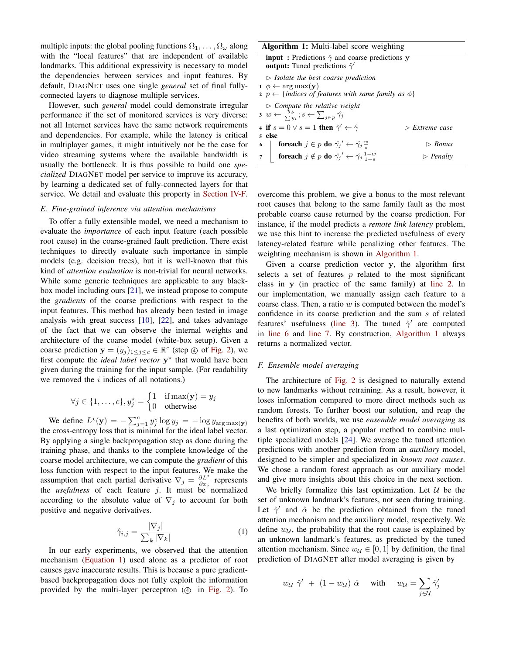multiple inputs: the global pooling functions  $\Omega_1, \ldots, \Omega_\omega$  along with the "local features" that are independent of available landmarks. This additional expressivity is necessary to model the dependencies between services and input features. By default, DIAGNET uses one single *general* set of final fullyconnected layers to diagnose multiple services.

However, such *general* model could demonstrate irregular performance if the set of monitored services is very diverse: not all Internet services have the same network requirements and dependencies. For example, while the latency is critical in multiplayer games, it might intuitively not be the case for video streaming systems where the available bandwidth is usually the bottleneck. It is thus possible to build one *specialized* DIAGNET model per service to improve its accuracy, by learning a dedicated set of fully-connected layers for that service. We detail and evaluate this property in Section IV-F.

#### *E. Fine-grained inference via attention mechanisms*

To offer a fully extensible model, we need a mechanism to evaluate the *importance* of each input feature (each possible root cause) in the coarse-grained fault prediction. There exist techniques to directly evaluate such importance in simple models (e.g. decision trees), but it is well-known that this kind of *attention evaluation* is non-trivial for neural networks. While some generic techniques are applicable to any blackbox model including ours [21], we instead propose to compute the *gradients* of the coarse predictions with respect to the input features. This method has already been tested in image analysis with great success [10], [22], and takes advantage of the fact that we can observe the internal weights and architecture of the coarse model (white-box setup). Given a coarse prediction  $\mathbf{y} = (y_j)_{1 \leq j \leq c} \in \mathbb{R}^c$  (step  $\circled{a}$ ) of Fig. 2), we first compute the *ideal label vector*  $y^*$  that would have been given during the training for the input sample. (For readability we removed the  $i$  indices of all notations.)

$$
\forall j \in \{1, \ldots, c\}, y_j^* = \begin{cases} 1 & \text{if } \max(\mathbf{y}) = y_j \\ 0 & \text{otherwise} \end{cases}
$$

We define  $L^*(\mathbf{y}) = -\sum_{j=1}^c y_j^* \log y_j = -\log y_{\arg \max(\mathbf{y})}$ the cross-entropy loss that is minimal for the ideal label vector. By applying a single backpropagation step as done during the training phase, and thanks to the complete knowledge of the coarse model architecture, we can compute the *gradient* of this loss function with respect to the input features. We make the assumption that each partial derivative  $\nabla_j = \frac{\partial L^*}{\partial x_j}$  represents the *usefulness* of each feature  $j$ . It must be normalized according to the absolute value of  $\nabla_j$  to account for both positive and negative derivatives.

$$
\hat{\gamma}_{i,j} = \frac{|\nabla_j|}{\sum_k |\nabla_k|} \tag{1}
$$

In our early experiments, we observed that the attention mechanism (Equation 1) used alone as a predictor of root causes gave inaccurate results. This is because a pure gradientbased backpropagation does not fully exploit the information provided by the multi-layer perceptron  $(4)$  in Fig. 2). To

| <b>Algorithm 1:</b> Multi-label score weighting                                                                                                                                     |                          |  |  |
|-------------------------------------------------------------------------------------------------------------------------------------------------------------------------------------|--------------------------|--|--|
| <b>input</b> : Predictions $\hat{\gamma}$ and coarse predictions y<br><b>output:</b> Tuned predictions $\hat{\gamma}'$                                                              |                          |  |  |
| $\triangleright$ Isolate the best coarse prediction<br>$1 \phi \leftarrow \arg \max(\mathbf{v})$<br>2 $p \leftarrow \{indices \ of \ features \ with \ same \ family \ as \ \phi\}$ |                          |  |  |
| $\triangleright$ Compute the relative weight<br>$3 w \leftarrow \frac{y_{\phi}}{\sum u_i}; s \leftarrow \sum_{j \in p} \hat{\gamma}_j$                                              |                          |  |  |
| 4 if $s = 0 \vee s = 1$ then $\hat{\gamma}' \leftarrow \hat{\gamma}$<br>$\triangleright$ Extreme case                                                                               |                          |  |  |
| 5 else                                                                                                                                                                              |                          |  |  |
| <b>foreach</b> $j \in p$ do $\hat{\gamma_j}' \leftarrow \hat{\gamma_j} \frac{w}{s}$<br>6                                                                                            | $\triangleright$ Bonus   |  |  |
| 7 <b>foreach</b> $j \notin p$ do $\hat{\gamma_j}' \leftarrow \hat{\gamma_j} \frac{1-w}{1-s}$                                                                                        | $\triangleright$ Penalty |  |  |

overcome this problem, we give a bonus to the most relevant root causes that belong to the same family fault as the most probable coarse cause returned by the coarse prediction. For instance, if the model predicts a *remote link latency* problem, we use this hint to increase the predicted usefulness of every latency-related feature while penalizing other features. The weighting mechanism is shown in Algorithm 1.

Given a coarse prediction vector y, the algorithm first selects a set of features  $p$  related to the most significant class in y (in practice of the same family) at line 2. In our implementation, we manually assign each feature to a coarse class. Then, a ratio  $w$  is computed between the model's confidence in its coarse prediction and the sum s of related features' usefulness (line 3). The tuned  $\hat{\gamma}'$  are computed in line 6 and line 7. By construction, Algorithm 1 always returns a normalized vector.

#### *F. Ensemble model averaging*

The architecture of Fig. 2 is designed to naturally extend to new landmarks without retraining. As a result, however, it loses information compared to more direct methods such as random forests. To further boost our solution, and reap the benefits of both worlds, we use *ensemble model averaging* as a last optimization step, a popular method to combine multiple specialized models [24]. We average the tuned attention predictions with another prediction from an *auxiliary* model, designed to be simpler and specialized in *known root causes*. We chose a random forest approach as our auxiliary model and give more insights about this choice in the next section.

We briefly formalize this last optimization. Let  $U$  be the set of unknown landmark's features, not seen during training. Let  $\hat{\gamma}'$  and  $\hat{\alpha}$  be the prediction obtained from the tuned attention mechanism and the auxiliary model, respectively. We define  $w_{\mathcal{U}}$ , the probability that the root cause is explained by an unknown landmark's features, as predicted by the tuned attention mechanism. Since  $w_{\mathcal{U}} \in [0, 1]$  by definition, the final prediction of DIAGNET after model averaging is given by

$$
w_{\mathcal{U}} \hat{\gamma}' + (1 - w_{\mathcal{U}}) \hat{\alpha}
$$
 with  $w_{\mathcal{U}} = \sum_{j \in \mathcal{U}} \hat{\gamma}'_j$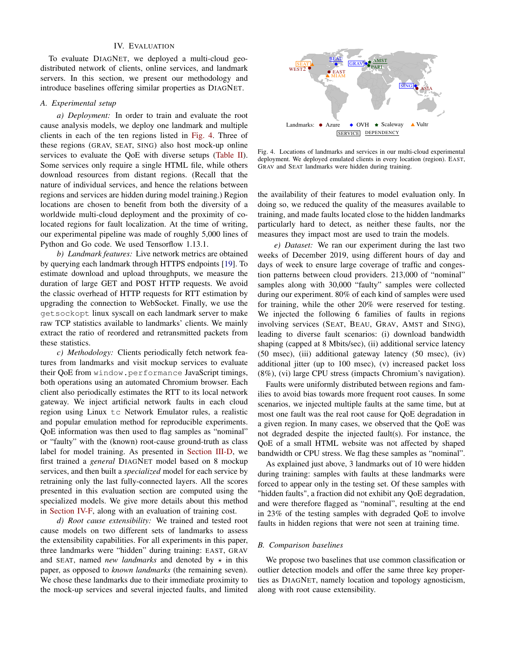#### IV. EVALUATION

To evaluate DIAGNET, we deployed a multi-cloud geodistributed network of clients, online services, and landmark servers. In this section, we present our methodology and introduce baselines offering similar properties as DIAGNET.

#### *A. Experimental setup*

*a) Deployment:* In order to train and evaluate the root cause analysis models, we deploy one landmark and multiple clients in each of the ten regions listed in Fig. 4. Three of these regions (GRAV, SEAT, SING) also host mock-up online services to evaluate the QoE with diverse setups (Table II). Some services only require a single HTML file, while others download resources from distant regions. (Recall that the nature of individual services, and hence the relations between regions and services are hidden during model training.) Region locations are chosen to benefit from both the diversity of a worldwide multi-cloud deployment and the proximity of colocated regions for fault localization. At the time of writing, our experimental pipeline was made of roughly 5,000 lines of Python and Go code. We used Tensorflow 1.13.1.

*b) Landmark features:* Live network metrics are obtained by querying each landmark through HTTPS endpoints [19]. To estimate download and upload throughputs, we measure the duration of large GET and POST HTTP requests. We avoid the classic overhead of HTTP requests for RTT estimation by upgrading the connection to WebSocket. Finally, we use the getsockopt linux syscall on each landmark server to make raw TCP statistics available to landmarks' clients. We mainly extract the ratio of reordered and retransmitted packets from these statistics.

*c) Methodology:* Clients periodically fetch network features from landmarks and visit mockup services to evaluate their QoE from window.performance JavaScript timings, both operations using an automated Chromium browser. Each client also periodically estimates the RTT to its local network gateway. We inject artificial network faults in each cloud region using Linux tc Network Emulator rules, a realistic and popular emulation method for reproducible experiments. QoE information was then used to flag samples as "nominal" or "faulty" with the (known) root-cause ground-truth as class label for model training. As presented in Section III-D, we first trained a *general* DIAGNET model based on 8 mockup services, and then built a *specialized* model for each service by retraining only the last fully-connected layers. All the scores presented in this evaluation section are computed using the specialized models. We give more details about this method in Section IV-F, along with an evaluation of training cost.

*d) Root cause extensibility:* We trained and tested root cause models on two different sets of landmarks to assess the extensibility capabilities. For all experiments in this paper, three landmarks were "hidden" during training: EAST, GRAV and SEAT, named *new landmarks* and denoted by  $\star$  in this paper, as opposed to *known landmarks* (the remaining seven). We chose these landmarks due to their immediate proximity to the mock-up services and several injected faults, and limited



Fig. 4. Locations of landmarks and services in our multi-cloud experimental deployment. We deployed emulated clients in every location (region). EAST, GRAV and SEAT landmarks were hidden during training.

the availability of their features to model evaluation only. In doing so, we reduced the quality of the measures available to training, and made faults located close to the hidden landmarks particularly hard to detect, as neither these faults, nor the measures they impact most are used to train the models.

*e) Dataset:* We ran our experiment during the last two weeks of December 2019, using different hours of day and days of week to ensure large coverage of traffic and congestion patterns between cloud providers. 213,000 of "nominal" samples along with 30,000 "faulty" samples were collected during our experiment. 80% of each kind of samples were used for training, while the other 20% were reserved for testing. We injected the following 6 families of faults in regions involving services (SEAT, BEAU, GRAV, AMST and SING), leading to diverse fault scenarios: (i) download bandwidth shaping (capped at 8 Mbits/sec), (ii) additional service latency (50 msec), (iii) additional gateway latency (50 msec), (iv) additional jitter (up to 100 msec), (v) increased packet loss (8%), (vi) large CPU stress (impacts Chromium's navigation).

Faults were uniformly distributed between regions and families to avoid bias towards more frequent root causes. In some scenarios, we injected multiple faults at the same time, but at most one fault was the real root cause for QoE degradation in a given region. In many cases, we observed that the QoE was not degraded despite the injected fault(s). For instance, the QoE of a small HTML website was not affected by shaped bandwidth or CPU stress. We flag these samples as "nominal".

As explained just above, 3 landmarks out of 10 were hidden during training: samples with faults at these landmarks were forced to appear only in the testing set. Of these samples with "hidden faults", a fraction did not exhibit any QoE degradation, and were therefore flagged as "nominal", resulting at the end in 23% of the testing samples with degraded QoE to involve faults in hidden regions that were not seen at training time.

#### *B. Comparison baselines*

We propose two baselines that use common classification or outlier detection models and offer the same three key properties as DIAGNET, namely location and topology agnosticism, along with root cause extensibility.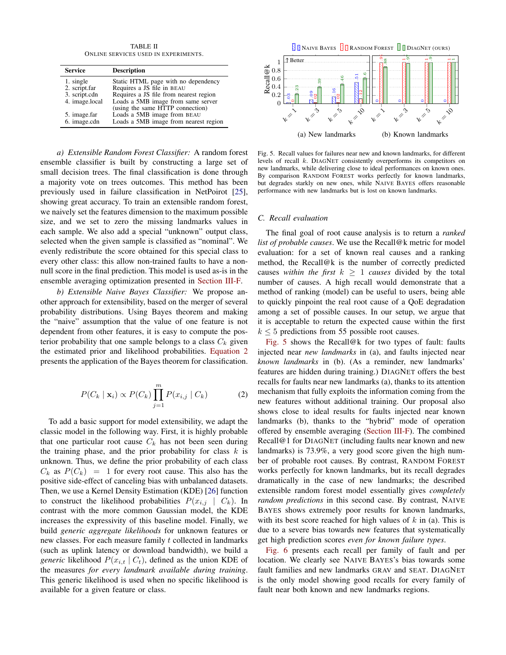TABLE II ONLINE SERVICES USED IN EXPERIMENTS.

| <b>Service</b> | <b>Description</b>                     |
|----------------|----------------------------------------|
| 1. single      | Static HTML page with no dependency    |
| 2. script.far  | Requires a JS file in BEAU             |
| 3. script.cdn  | Requires a JS file from nearest region |
| 4. image.local | Loads a 5MB image from same server     |
|                | (using the same HTTP connection)       |
| 5. image.far   | Loads a 5MB image from BEAU            |
| 6. image.cdn   | Loads a 5MB image from nearest region  |

*a) Extensible Random Forest Classifier:* A random forest ensemble classifier is built by constructing a large set of small decision trees. The final classification is done through a majority vote on trees outcomes. This method has been previously used in failure classification in NetPoirot [25], showing great accuracy. To train an extensible random forest, we naively set the features dimension to the maximum possible size, and we set to zero the missing landmarks values in each sample. We also add a special "unknown" output class, selected when the given sample is classified as "nominal". We evenly redistribute the score obtained for this special class to every other class: this allow non-trained faults to have a nonnull score in the final prediction. This model is used as-is in the ensemble averaging optimization presented in Section III-F.

*b) Extensible Naive Bayes Classifier:* We propose another approach for extensibility, based on the merger of several probability distributions. Using Bayes theorem and making the "naive" assumption that the value of one feature is not dependent from other features, it is easy to compute the posterior probability that one sample belongs to a class  $C_k$  given the estimated prior and likelihood probabilities. Equation 2 presents the application of the Bayes theorem for classification.

$$
P(C_k | \mathbf{x}_i) \propto P(C_k) \prod_{j=1}^{m} P(x_{i,j} | C_k)
$$
 (2)

To add a basic support for model extensibility, we adapt the classic model in the following way. First, it is highly probable that one particular root cause  $C_k$  has not been seen during the training phase, and the prior probability for class  $k$  is unknown. Thus, we define the prior probability of each class  $C_k$  as  $P(C_k) = 1$  for every root cause. This also has the positive side-effect of canceling bias with unbalanced datasets. Then, we use a Kernel Density Estimation (KDE) [26] function to construct the likelihood probabilities  $P(x_{i,j} \mid C_k)$ . In contrast with the more common Gaussian model, the KDE increases the expressivity of this baseline model. Finally, we build *generic aggregate likelihoods* for unknown features or new classes. For each measure family t collected in landmarks (such as uplink latency or download bandwidth), we build a *generic* likelihood  $P(x_{i,t} | C_t)$ , defined as the union KDE of the measures *for every landmark available during training*. This generic likelihood is used when no specific likelihood is available for a given feature or class.



Fig. 5. Recall values for failures near new and known landmarks, for different levels of recall k. DIAGNET consistently overperforms its competitors on new landmarks, while delivering close to ideal performances on known ones. By comparison RANDOM FOREST works perfectly for known landmarks, but degrades starkly on new ones, while NAIVE BAYES offers reasonable performance with new landmarks but is lost on known landmarks.

#### *C. Recall evaluation*

The final goal of root cause analysis is to return a *ranked list of probable causes*. We use the Recall@k metric for model evaluation: for a set of known real causes and a ranking method, the Recall@k is the number of correctly predicted causes *within the first*  $k \geq 1$  *causes* divided by the total number of causes. A high recall would demonstrate that a method of ranking (model) can be useful to users, being able to quickly pinpoint the real root cause of a QoE degradation among a set of possible causes. In our setup, we argue that it is acceptable to return the expected cause within the first  $k \leq 5$  predictions from 55 possible root causes.

Fig. 5 shows the Recall@k for two types of fault: faults injected near *new landmarks* in (a), and faults injected near *known landmarks* in (b). (As a reminder, new landmarks' features are hidden during training.) DIAGNET offers the best recalls for faults near new landmarks (a), thanks to its attention mechanism that fully exploits the information coming from the new features without additional training. Our proposal also shows close to ideal results for faults injected near known landmarks (b), thanks to the "hybrid" mode of operation offered by ensemble averaging (Section III-F). The combined Recall@1 for DIAGNET (including faults near known and new landmarks) is 73.9%, a very good score given the high number of probable root causes. By contrast, RANDOM FOREST works perfectly for known landmarks, but its recall degrades dramatically in the case of new landmarks; the described extensible random forest model essentially gives *completely random predictions* in this second case. By contrast, NAIVE BAYES shows extremely poor results for known landmarks, with its best score reached for high values of  $k$  in (a). This is due to a severe bias towards new features that systematically get high prediction scores *even for known failure types*.

Fig. 6 presents each recall per family of fault and per location. We clearly see NAIVE BAYES's bias towards some fault families and new landmarks GRAV and SEAT. DIAGNET is the only model showing good recalls for every family of fault near both known and new landmarks regions.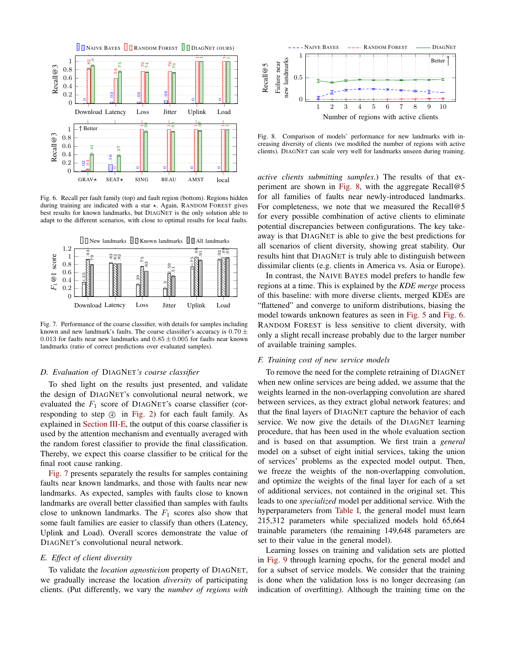

Fig. 6. Recall per fault family (top) and fault region (bottom). Regions hidden during training are indicated with a star  $\star$ . Again, RANDOM FOREST gives best results for known landmarks, but DIAGNET is the only solution able to adapt to the different scenarios, with close to optimal results for local faults.



Fig. 7. Performance of the coarse classifier, with details for samples including known and new landmark's faults. The coarse classifier's accuracy is  $0.70 \pm$ 0.013 for faults near new landmarks and  $0.85 \pm 0.005$  for faults near known landmarks (ratio of correct predictions over evaluated samples).

#### *D. Evaluation of* DIAGNET*'s coarse classifier*

To shed light on the results just presented, and validate the design of DIAGNET's convolutional neural network, we evaluated the  $F_1$  score of DIAGNET's coarse classifier (corresponding to step  $\circled{4}$  in Fig. 2) for each fault family. As explained in Section III-E, the output of this coarse classifier is used by the attention mechanism and eventually averaged with the random forest classifier to provide the final classification. Thereby, we expect this coarse classifier to be critical for the final root cause ranking.

Fig. 7 presents separately the results for samples containing faults near known landmarks, and those with faults near new landmarks. As expected, samples with faults close to known landmarks are overall better classified than samples with faults close to unknown landmarks. The  $F_1$  scores also show that some fault families are easier to classify than others (Latency, Uplink and Load). Overall scores demonstrate the value of DIAGNET's convolutional neural network.

#### *E. Effect of client diversity*

To validate the *location agnosticism* property of DIAGNET, we gradually increase the location *diversity* of participating clients. (Put differently, we vary the *number of regions with*



Fig. 8. Comparison of models' performance for new landmarks with increasing diversity of clients (we modified the number of regions with active clients). DIAGNET can scale very well for landmarks unseen during training.

*active clients submitting samples*.) The results of that experiment are shown in Fig. 8, with the aggregate Recall@5 for all families of faults near newly-introduced landmarks. For completeness, we note that we measured the Recall@5 for every possible combination of active clients to eliminate potential discrepancies between configurations. The key takeaway is that DIAGNET is able to give the best predictions for all scenarios of client diversity, showing great stability. Our results hint that DIAGNET is truly able to distinguish between dissimilar clients (e.g. clients in America vs. Asia or Europe).

In contrast, the NAIVE BAYES model prefers to handle few regions at a time. This is explained by the *KDE merge* process of this baseline: with more diverse clients, merged KDEs are "flattened" and converge to uniform distributions, biasing the model towards unknown features as seen in Fig. 5 and Fig. 6. RANDOM FOREST is less sensitive to client diversity, with only a slight recall increase probably due to the larger number of available training samples.

#### *F. Training cost of new service models*

To remove the need for the complete retraining of DIAGNET when new online services are being added, we assume that the weights learned in the non-overlapping convolution are shared between services, as they extract global network features; and that the final layers of DIAGNET capture the behavior of each service. We now give the details of the DIAGNET learning procedure, that has been used in the whole evaluation section and is based on that assumption. We first train a *general* model on a subset of eight initial services, taking the union of services' problems as the expected model output. Then, we freeze the weights of the non-overlapping convolution, and optimize the weights of the final layer for each of a set of additional services, not contained in the original set. This leads to one *specialized* model per additional service. With the hyperparameters from Table I, the general model must learn 215,312 parameters while specialized models hold 65,664 trainable parameters (the remaining 149,648 parameters are set to their value in the general model).

Learning losses on training and validation sets are plotted in Fig. 9 through learning epochs, for the general model and for a subset of service models. We consider that the training is done when the validation loss is no longer decreasing (an indication of overfitting). Although the training time on the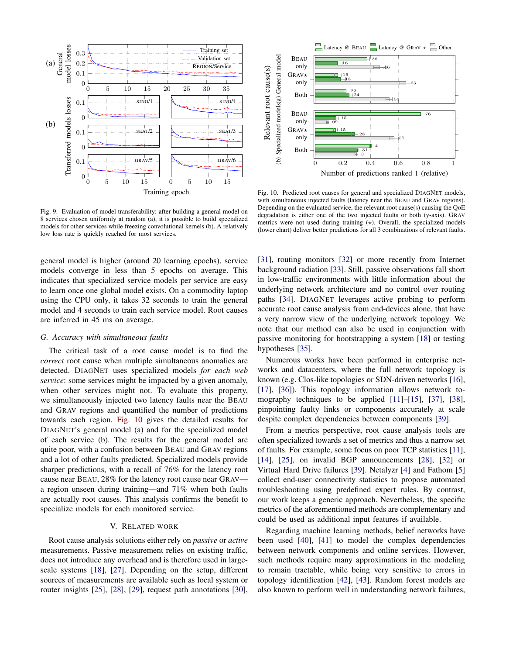

Fig. 9. Evaluation of model transferability: after building a general model on 8 services chosen uniformly at random (a), it is possible to build specialized models for other services while freezing convolutional kernels (b). A relatively low loss rate is quickly reached for most services.

general model is higher (around 20 learning epochs), service models converge in less than 5 epochs on average. This indicates that specialized service models per service are easy to learn once one global model exists. On a commodity laptop using the CPU only, it takes 32 seconds to train the general model and 4 seconds to train each service model. Root causes are inferred in 45 ms on average.

#### *G. Accuracy with simultaneous faults*

The critical task of a root cause model is to find the *correct* root cause when multiple simultaneous anomalies are detected. DIAGNET uses specialized models *for each web service*: some services might be impacted by a given anomaly, when other services might not. To evaluate this property, we simultaneously injected two latency faults near the BEAU and GRAV regions and quantified the number of predictions towards each region. Fig. 10 gives the detailed results for DIAGNET's general model (a) and for the specialized model of each service (b). The results for the general model are quite poor, with a confusion between BEAU and GRAV regions and a lot of other faults predicted. Specialized models provide sharper predictions, with a recall of 76% for the latency root cause near BEAU, 28% for the latency root cause near GRAV a region unseen during training—and 71% when both faults are actually root causes. This analysis confirms the benefit to specialize models for each monitored service.

#### V. RELATED WORK

Root cause analysis solutions either rely on *passive* or *active* measurements. Passive measurement relies on existing traffic, does not introduce any overhead and is therefore used in largescale systems [18], [27]. Depending on the setup, different sources of measurements are available such as local system or router insights [25], [28], [29], request path annotations [30],



Fig. 10. Predicted root causes for general and specialized DIAGNET models, with simultaneous injected faults (latency near the BEAU and GRAV regions). Depending on the evaluated service, the relevant root cause(s) causing the QoE degradation is either one of the two injected faults or both (y-axis). GRAV metrics were not used during training  $(x)$ . Overall, the specialized models (lower chart) deliver better predictions for all 3 combinations of relevant faults.

[31], routing monitors [32] or more recently from Internet background radiation [33]. Still, passive observations fall short in low-traffic environments with little information about the underlying network architecture and no control over routing paths [34]. DIAGNET leverages active probing to perform accurate root cause analysis from end-devices alone, that have a very narrow view of the underlying network topology. We note that our method can also be used in conjunction with passive monitoring for bootstrapping a system [18] or testing hypotheses [35].

Numerous works have been performed in enterprise networks and datacenters, where the full network topology is known (e.g. Clos-like topologies or SDN-driven networks [16], [17], [36]). This topology information allows network tomography techniques to be applied [11]–[15], [37], [38], pinpointing faulty links or components accurately at scale despite complex dependencies between components [39].

From a metrics perspective, root cause analysis tools are often specialized towards a set of metrics and thus a narrow set of faults. For example, some focus on poor TCP statistics [11], [14], [25], on invalid BGP announcements [28], [32] or Virtual Hard Drive failures [39]. Netalyzr [4] and Fathom [5] collect end-user connectivity statistics to propose automated troubleshooting using predefined expert rules. By contrast, our work keeps a generic approach. Nevertheless, the specific metrics of the aforementioned methods are complementary and could be used as additional input features if available.

Regarding machine learning methods, belief networks have been used [40], [41] to model the complex dependencies between network components and online services. However, such methods require many approximations in the modeling to remain tractable, while being very sensitive to errors in topology identification [42], [43]. Random forest models are also known to perform well in understanding network failures,